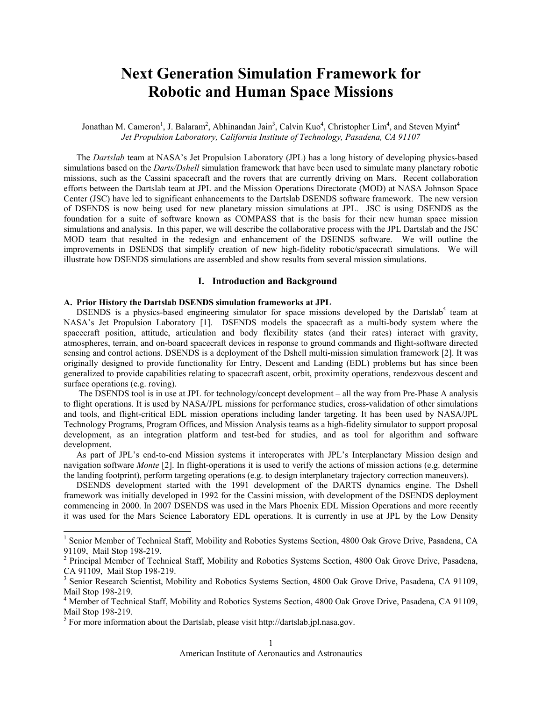# **Next Generation Simulation Framework for Robotic and Human Space Missions**

Jonathan M. Cameron<sup>1</sup>, J. Balaram<sup>2</sup>, Abhinandan Jain<sup>3</sup>, Calvin Kuo<sup>4</sup>, Christopher Lim<sup>4</sup>, and Steven Myint<sup>4</sup> *Jet Propulsion Laboratory, California Institute of Technology, Pasadena, CA 91107* 

The *Dartslab* team at NASA's Jet Propulsion Laboratory (JPL) has a long history of developing physics-based simulations based on the *Darts/Dshell* simulation framework that have been used to simulate many planetary robotic missions, such as the Cassini spacecraft and the rovers that are currently driving on Mars. Recent collaboration efforts between the Dartslab team at JPL and the Mission Operations Directorate (MOD) at NASA Johnson Space Center (JSC) have led to significant enhancements to the Dartslab DSENDS software framework. The new version of DSENDS is now being used for new planetary mission simulations at JPL. JSC is using DSENDS as the foundation for a suite of software known as COMPASS that is the basis for their new human space mission simulations and analysis. In this paper, we will describe the collaborative process with the JPL Dartslab and the JSC MOD team that resulted in the redesign and enhancement of the DSENDS software. We will outline the improvements in DSENDS that simplify creation of new high-fidelity robotic/spacecraft simulations. We will illustrate how DSENDS simulations are assembled and show results from several mission simulations.

# **I. Introduction and Background**

## **A. Prior History the Dartslab DSENDS simulation frameworks at JPL**

DSENDS is a physics-based engineering simulator for space missions developed by the Dartslab<sup>5</sup> team at NASA's Jet Propulsion Laboratory [1]. DSENDS models the spacecraft as a multi-body system where the spacecraft position, attitude, articulation and body flexibility states (and their rates) interact with gravity, atmospheres, terrain, and on-board spacecraft devices in response to ground commands and flight-software directed sensing and control actions. DSENDS is a deployment of the Dshell multi-mission simulation framework [2]. It was originally designed to provide functionality for Entry, Descent and Landing (EDL) problems but has since been generalized to provide capabilities relating to spacecraft ascent, orbit, proximity operations, rendezvous descent and surface operations (e.g. roving).

 The DSENDS tool is in use at JPL for technology/concept development – all the way from Pre-Phase A analysis to flight operations. It is used by NASA/JPL missions for performance studies, cross-validation of other simulations and tools, and flight-critical EDL mission operations including lander targeting. It has been used by NASA/JPL Technology Programs, Program Offices, and Mission Analysis teams as a high-fidelity simulator to support proposal development, as an integration platform and test-bed for studies, and as tool for algorithm and software development.

As part of JPL's end-to-end Mission systems it interoperates with JPL's Interplanetary Mission design and navigation software *Monte* [2]. In flight-operations it is used to verify the actions of mission actions (e.g. determine the landing footprint), perform targeting operations (e.g. to design interplanetary trajectory correction maneuvers).

DSENDS development started with the 1991 development of the DARTS dynamics engine. The Dshell framework was initially developed in 1992 for the Cassini mission, with development of the DSENDS deployment commencing in 2000. In 2007 DSENDS was used in the Mars Phoenix EDL Mission Operations and more recently it was used for the Mars Science Laboratory EDL operations. It is currently in use at JPL by the Low Density

 $\overline{a}$ 

<sup>&</sup>lt;sup>1</sup> Senior Member of Technical Staff, Mobility and Robotics Systems Section, 4800 Oak Grove Drive, Pasadena, CA 91109, Mail Stop 198-219.

<sup>&</sup>lt;sup>2</sup> Principal Member of Technical Staff, Mobility and Robotics Systems Section, 4800 Oak Grove Drive, Pasadena, CA 91109, Mail Stop 198-219.

<sup>&</sup>lt;sup>3</sup> Senior Research Scientist, Mobility and Robotics Systems Section, 4800 Oak Grove Drive, Pasadena, CA 91109, Mail Stop 198-219.

<sup>&</sup>lt;sup>4</sup> Member of Technical Staff, Mobility and Robotics Systems Section, 4800 Oak Grove Drive, Pasadena, CA 91109, Mail Stop 198-219.

 $<sup>5</sup>$  For more information about the Dartslab, please visit http://dartslab.jpl.nasa.gov.</sup>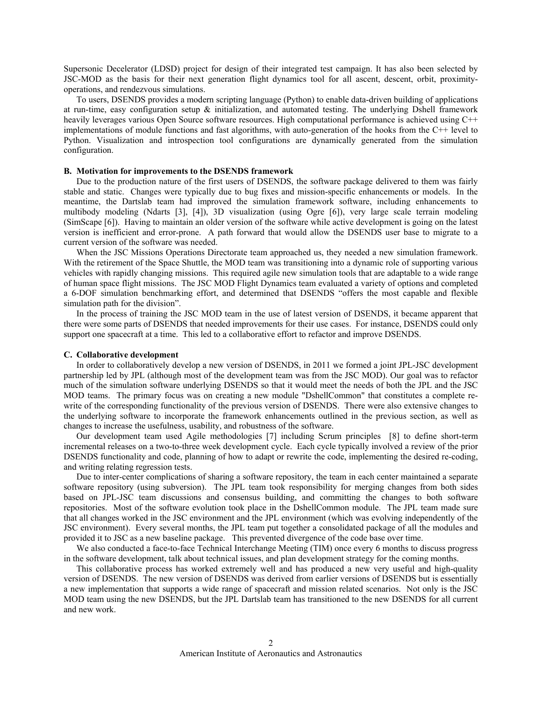Supersonic Decelerator (LDSD) project for design of their integrated test campaign. It has also been selected by JSC-MOD as the basis for their next generation flight dynamics tool for all ascent, descent, orbit, proximityoperations, and rendezvous simulations.

To users, DSENDS provides a modern scripting language (Python) to enable data-driven building of applications at run-time, easy configuration setup & initialization, and automated testing. The underlying Dshell framework heavily leverages various Open Source software resources. High computational performance is achieved using C++ implementations of module functions and fast algorithms, with auto-generation of the hooks from the C++ level to Python. Visualization and introspection tool configurations are dynamically generated from the simulation configuration.

# **B. Motivation for improvements to the DSENDS framework**

Due to the production nature of the first users of DSENDS, the software package delivered to them was fairly stable and static. Changes were typically due to bug fixes and mission-specific enhancements or models. In the meantime, the Dartslab team had improved the simulation framework software, including enhancements to multibody modeling (Ndarts [3], [4]), 3D visualization (using Ogre [6]), very large scale terrain modeling (SimScape [6]). Having to maintain an older version of the software while active development is going on the latest version is inefficient and error-prone. A path forward that would allow the DSENDS user base to migrate to a current version of the software was needed.

When the JSC Missions Operations Directorate team approached us, they needed a new simulation framework. With the retirement of the Space Shuttle, the MOD team was transitioning into a dynamic role of supporting various vehicles with rapidly changing missions. This required agile new simulation tools that are adaptable to a wide range of human space flight missions. The JSC MOD Flight Dynamics team evaluated a variety of options and completed a 6-DOF simulation benchmarking effort, and determined that DSENDS "offers the most capable and flexible simulation path for the division".

In the process of training the JSC MOD team in the use of latest version of DSENDS, it became apparent that there were some parts of DSENDS that needed improvements for their use cases. For instance, DSENDS could only support one spacecraft at a time. This led to a collaborative effort to refactor and improve DSENDS.

# **C. Collaborative development**

In order to collaboratively develop a new version of DSENDS, in 2011 we formed a joint JPL-JSC development partnership led by JPL (although most of the development team was from the JSC MOD). Our goal was to refactor much of the simulation software underlying DSENDS so that it would meet the needs of both the JPL and the JSC MOD teams. The primary focus was on creating a new module "DshellCommon" that constitutes a complete rewrite of the corresponding functionality of the previous version of DSENDS. There were also extensive changes to the underlying software to incorporate the framework enhancements outlined in the previous section, as well as changes to increase the usefulness, usability, and robustness of the software.

Our development team used Agile methodologies [7] including Scrum principles [8] to define short-term incremental releases on a two-to-three week development cycle. Each cycle typically involved a review of the prior DSENDS functionality and code, planning of how to adapt or rewrite the code, implementing the desired re-coding, and writing relating regression tests.

Due to inter-center complications of sharing a software repository, the team in each center maintained a separate software repository (using subversion). The JPL team took responsibility for merging changes from both sides based on JPL-JSC team discussions and consensus building, and committing the changes to both software repositories. Most of the software evolution took place in the DshellCommon module. The JPL team made sure that all changes worked in the JSC environment and the JPL environment (which was evolving independently of the JSC environment). Every several months, the JPL team put together a consolidated package of all the modules and provided it to JSC as a new baseline package. This prevented divergence of the code base over time.

We also conducted a face-to-face Technical Interchange Meeting (TIM) once every 6 months to discuss progress in the software development, talk about technical issues, and plan development strategy for the coming months.

This collaborative process has worked extremely well and has produced a new very useful and high-quality version of DSENDS. The new version of DSENDS was derived from earlier versions of DSENDS but is essentially a new implementation that supports a wide range of spacecraft and mission related scenarios. Not only is the JSC MOD team using the new DSENDS, but the JPL Dartslab team has transitioned to the new DSENDS for all current and new work.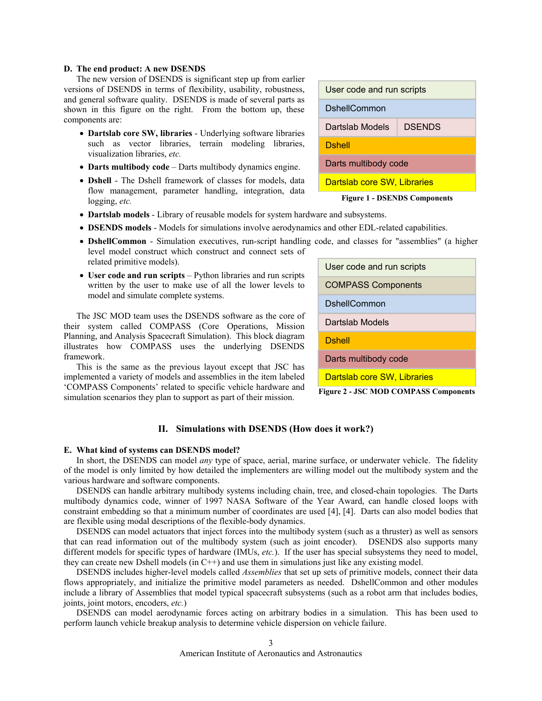#### **D. The end product: A new DSENDS**

The new version of DSENDS is significant step up from earlier versions of DSENDS in terms of flexibility, usability, robustness, and general software quality. DSENDS is made of several parts as shown in this figure on the right. From the bottom up, these components are:

- **Dartslab core SW, libraries** Underlying software libraries such as vector libraries, terrain modeling libraries, visualization libraries, *etc.*
- **Darts multibody code** Darts multibody dynamics engine.
- **Dshell** The Dshell framework of classes for models, data flow management, parameter handling, integration, data logging, *etc.*

| User code and run scripts           |        |
|-------------------------------------|--------|
| DshellCommon                        |        |
| Dartslab Models                     | DSENDS |
| Dshell                              |        |
| Darts multibody code                |        |
| Dartslab core SW, Libraries         |        |
| <b>Figure 1 - DSENDS Components</b> |        |

- **Dartslab models** Library of reusable models for system hardware and subsystems.
- **DSENDS models** Models for simulations involve aerodynamics and other EDL-related capabilities.
- **DshellCommon** Simulation executives, run-script handling code, and classes for "assemblies" (a higher level model construct which construct and connect sets of related primitive models).
- **User code and run scripts**  Python libraries and run scripts written by the user to make use of all the lower levels to model and simulate complete systems.

The JSC MOD team uses the DSENDS software as the core of their system called COMPASS (Core Operations, Mission Planning, and Analysis Spacecraft Simulation). This block diagram illustrates how COMPASS uses the underlying DSENDS framework.

This is the same as the previous layout except that JSC has implemented a variety of models and assemblies in the item labeled 'COMPASS Components' related to specific vehicle hardware and simulation scenarios they plan to support as part of their mission.

| User code and run scripts   |  |
|-----------------------------|--|
| <b>COMPASS Components</b>   |  |
| DshellCommon                |  |
| Dartslab Models             |  |
| <b>Dshell</b>               |  |
| Darts multibody code        |  |
| Dartslab core SW, Libraries |  |
| $R_{\alpha}$                |  |

**Figure 2 - JSC MOD COMPASS Components**

# **II. Simulations with DSENDS (How does it work?)**

#### **E. What kind of systems can DSENDS model?**

In short, the DSENDS can model *any* type of space, aerial, marine surface, or underwater vehicle. The fidelity of the model is only limited by how detailed the implementers are willing model out the multibody system and the various hardware and software components.

DSENDS can handle arbitrary multibody systems including chain, tree, and closed-chain topologies. The Darts multibody dynamics code, winner of 1997 NASA Software of the Year Award, can handle closed loops with constraint embedding so that a minimum number of coordinates are used [4], [4]. Darts can also model bodies that are flexible using modal descriptions of the flexible-body dynamics.

DSENDS can model actuators that inject forces into the multibody system (such as a thruster) as well as sensors that can read information out of the multibody system (such as joint encoder). DSENDS also supports many different models for specific types of hardware (IMUs, *etc.*). If the user has special subsystems they need to model, they can create new Dshell models (in C++) and use them in simulations just like any existing model.

DSENDS includes higher-level models called *Assemblies* that set up sets of primitive models, connect their data flows appropriately, and initialize the primitive model parameters as needed. DshellCommon and other modules include a library of Assemblies that model typical spacecraft subsystems (such as a robot arm that includes bodies, joints, joint motors, encoders, *etc.*)

DSENDS can model aerodynamic forces acting on arbitrary bodies in a simulation. This has been used to perform launch vehicle breakup analysis to determine vehicle dispersion on vehicle failure.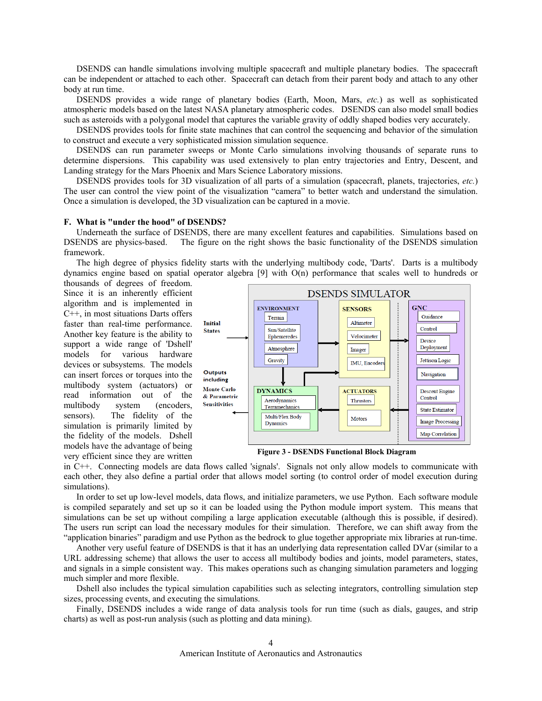DSENDS can handle simulations involving multiple spacecraft and multiple planetary bodies. The spacecraft can be independent or attached to each other. Spacecraft can detach from their parent body and attach to any other body at run time.

DSENDS provides a wide range of planetary bodies (Earth, Moon, Mars, *etc.*) as well as sophisticated atmospheric models based on the latest NASA planetary atmospheric codes. DSENDS can also model small bodies such as asteroids with a polygonal model that captures the variable gravity of oddly shaped bodies very accurately.

DSENDS provides tools for finite state machines that can control the sequencing and behavior of the simulation to construct and execute a very sophisticated mission simulation sequence.

DSENDS can run parameter sweeps or Monte Carlo simulations involving thousands of separate runs to determine dispersions. This capability was used extensively to plan entry trajectories and Entry, Descent, and Landing strategy for the Mars Phoenix and Mars Science Laboratory missions.

DSENDS provides tools for 3D visualization of all parts of a simulation (spacecraft, planets, trajectories, *etc.*) The user can control the view point of the visualization "camera" to better watch and understand the simulation. Once a simulation is developed, the 3D visualization can be captured in a movie.

#### **F. What is "under the hood" of DSENDS?**

Underneath the surface of DSENDS, there are many excellent features and capabilities. Simulations based on DSENDS are physics-based. The figure on the right shows the basic functionality of the DSENDS simulation framework.

The high degree of physics fidelity starts with the underlying multibody code, 'Darts'. Darts is a multibody dynamics engine based on spatial operator algebra [9] with O(n) performance that scales well to hundreds or

thousands of degrees of freedom. Since it is an inherently efficient algorithm and is implemented in C++, in most situations Darts offers faster than real-time performance. Another key feature is the ability to support a wide range of 'Dshell' models for various hardware devices or subsystems. The models can insert forces or torques into the multibody system (actuators) or read information out of the multibody system (encoders, sensors). The fidelity of the simulation is primarily limited by the fidelity of the models. Dshell models have the advantage of being very efficient since they are written



**Figure 3 - DSENDS Functional Block Diagram** 

in C++. Connecting models are data flows called 'signals'. Signals not only allow models to communicate with each other, they also define a partial order that allows model sorting (to control order of model execution during simulations).

In order to set up low-level models, data flows, and initialize parameters, we use Python. Each software module is compiled separately and set up so it can be loaded using the Python module import system. This means that simulations can be set up without compiling a large application executable (although this is possible, if desired). The users run script can load the necessary modules for their simulation. Therefore, we can shift away from the "application binaries" paradigm and use Python as the bedrock to glue together appropriate mix libraries at run-time.

Another very useful feature of DSENDS is that it has an underlying data representation called DVar (similar to a URL addressing scheme) that allows the user to access all multibody bodies and joints, model parameters, states, and signals in a simple consistent way. This makes operations such as changing simulation parameters and logging much simpler and more flexible.

Dshell also includes the typical simulation capabilities such as selecting integrators, controlling simulation step sizes, processing events, and executing the simulations.

Finally, DSENDS includes a wide range of data analysis tools for run time (such as dials, gauges, and strip charts) as well as post-run analysis (such as plotting and data mining).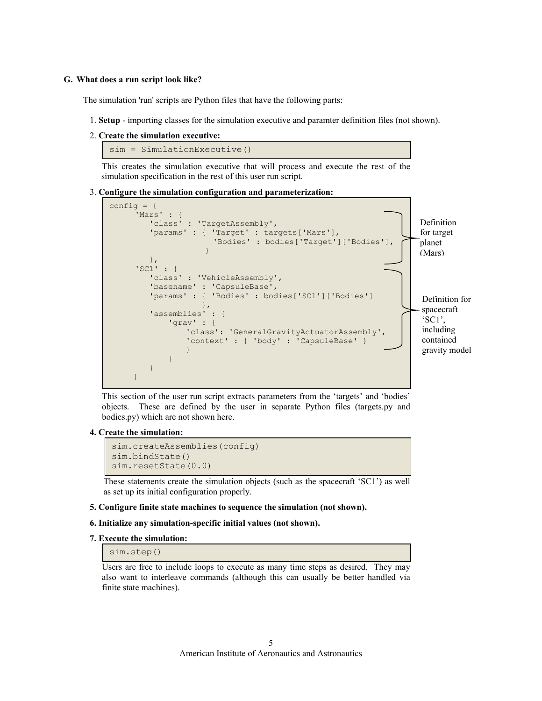#### **G. What does a run script look like?**

The simulation 'run' scripts are Python files that have the following parts:

- 1. **Setup** importing classes for the simulation executive and paramter definition files (not shown).
- 2. **Create the simulation executive:**

sim = SimulationExecutive()

This creates the simulation executive that will process and execute the rest of the simulation specification in the rest of this user run script.

3. **Configure the simulation configuration and parameterization:**



This section of the user run script extracts parameters from the 'targets' and 'bodies' objects. These are defined by the user in separate Python files (targets.py and bodies.py) which are not shown here.

### **4. Create the simulation:**

```
sim.createAssemblies(config) 
sim.bindState() 
sim.resetState(0.0)
```
These statements create the simulation objects (such as the spacecraft 'SC1') as well as set up its initial configuration properly.

#### **5. Configure finite state machines to sequence the simulation (not shown).**

## **6. Initialize any simulation-specific initial values (not shown).**

#### **7. Execute the simulation:**

sim.step()

Users are free to include loops to execute as many time steps as desired. They may also want to interleave commands (although this can usually be better handled via finite state machines).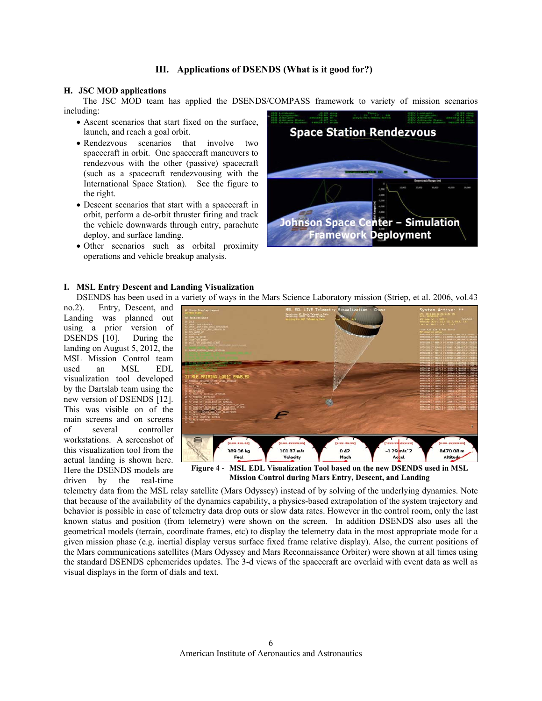# **III. Applications of DSENDS (What is it good for?)**

## **H. JSC MOD applications**

 The JSC MOD team has applied the DSENDS/COMPASS framework to variety of mission scenarios including:

- Ascent scenarios that start fixed on the surface, launch, and reach a goal orbit.
- Rendezvous scenarios that involve two spacecraft in orbit. One spacecraft maneuvers to rendezvous with the other (passive) spacecraft (such as a spacecraft rendezvousing with the International Space Station). See the figure to the right.
- Descent scenarios that start with a spacecraft in orbit, perform a de-orbit thruster firing and track the vehicle downwards through entry, parachute deploy, and surface landing.
- Other scenarios such as orbital proximity operations and vehicle breakup analysis.



## **I. MSL Entry Descent and Landing Visualization**

DSENDS has been used in a variety of ways in the Mars Science Laboratory mission (Striep, et al. 2006, vol.43

no.2). Entry, Descent, and Landing was planned out using a prior version of DSENDS [10]. During the landing on August 5, 2012, the MSL Mission Control team used an MSL EDL visualization tool developed by the Dartslab team using the new version of DSENDS [12]. This was visible on of the main screens and on screens of several controller workstations. A screenshot of this visualization tool from the actual landing is shown here. Here the DSENDS models are driven by the real-time



**Figure 4 - MSL EDL Visualization Tool based on the new DSENDS used in MSL Mission Control during Mars Entry, Descent, and Landing** 

telemetry data from the MSL relay satellite (Mars Odyssey) instead of by solving of the underlying dynamics. Note that because of the availability of the dynamics capability, a physics-based extrapolation of the system trajectory and behavior is possible in case of telemetry data drop outs or slow data rates. However in the control room, only the last known status and position (from telemetry) were shown on the screen. In addition DSENDS also uses all the geometrical models (terrain, coordinate frames, etc) to display the telemetry data in the most appropriate mode for a given mission phase (e.g. inertial display versus surface fixed frame relative display). Also, the current positions of the Mars communications satellites (Mars Odyssey and Mars Reconnaissance Orbiter) were shown at all times using the standard DSENDS ephemerides updates. The 3-d views of the spacecraft are overlaid with event data as well as visual displays in the form of dials and text.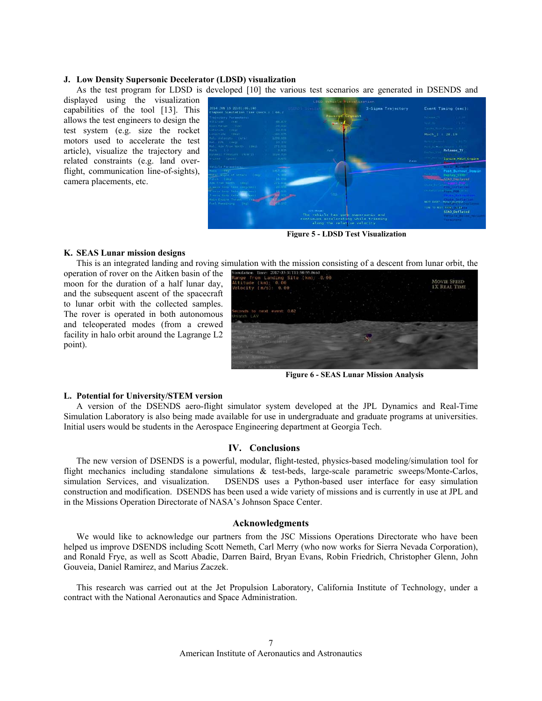#### **J. Low Density Supersonic Decelerator (LDSD) visualization**

As the test program for LDSD is developed [10] the various test scenarios are generated in DSENDS and

displayed using the visualization capabilities of the tool [13]. This allows the test engineers to design the test system (e.g. size the rocket motors used to accelerate the test article), visualize the trajectory and related constraints (e.g. land overflight, communication line-of-sights), camera placements, etc.



**Figure 5 - LDSD Test Visualization** 

# **K. SEAS Lunar mission designs**

This is an integrated landing and roving simulation with the mission consisting of a descent from lunar orbit, the

operation of rover on the Aitken basin of the moon for the duration of a half lunar day, and the subsequent ascent of the spacecraft to lunar orbit with the collected samples. The rover is operated in both autonomous and teleoperated modes (from a crewed facility in halo orbit around the Lagrange L2 point).



**Figure 6 - SEAS Lunar Mission Analysis** 

#### **L. Potential for University/STEM version**

A version of the DSENDS aero-flight simulator system developed at the JPL Dynamics and Real-Time Simulation Laboratory is also being made available for use in undergraduate and graduate programs at universities. Initial users would be students in the Aerospace Engineering department at Georgia Tech.

# **IV. Conclusions**

The new version of DSENDS is a powerful, modular, flight-tested, physics-based modeling/simulation tool for flight mechanics including standalone simulations & test-beds, large-scale parametric sweeps/Monte-Carlos, simulation Services, and visualization. DSENDS uses a Python-based user interface for easy simulation construction and modification. DSENDS has been used a wide variety of missions and is currently in use at JPL and in the Missions Operation Directorate of NASA's Johnson Space Center.

#### **Acknowledgments**

We would like to acknowledge our partners from the JSC Missions Operations Directorate who have been helped us improve DSENDS including Scott Nemeth, Carl Merry (who now works for Sierra Nevada Corporation), and Ronald Frye, as well as Scott Abadie, Darren Baird, Bryan Evans, Robin Friedrich, Christopher Glenn, John Gouveia, Daniel Ramirez, and Marius Zaczek.

This research was carried out at the Jet Propulsion Laboratory, California Institute of Technology, under a contract with the National Aeronautics and Space Administration.